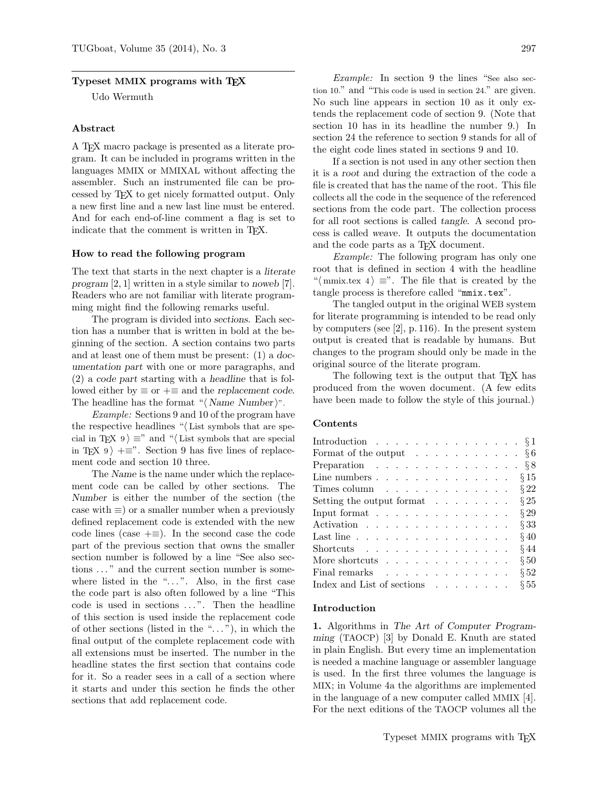## Typeset MMIX programs with TEX

Udo Wermuth

### Abstract

A TEX macro package is presented as a literate program. It can be included in programs written in the languages MMIX or MMIXAL without affecting the assembler. Such an instrumented file can be processed by TEX to get nicely formatted output. Only a new first line and a new last line must be entered. And for each end-of-line comment a flag is set to indicate that the comment is written in T<sub>E</sub>X.

### How to read the following program

The text that starts in the next chapter is a literate program [2, 1] written in a style similar to noweb [7]. Readers who are not familiar with literate programming might find the following remarks useful.

The program is divided into sections. Each section has a number that is written in bold at the beginning of the section. A section contains two parts and at least one of them must be present: (1) a documentation part with one or more paragraphs, and (2) a code part starting with a headline that is followed either by  $\equiv$  or  $+$  $\equiv$  and the replacement code. The headline has the format " $\langle$  Name Number $\rangle$ ".

Example: Sections 9 and 10 of the program have the respective headlines " $\langle$  List symbols that are special in TEX 9)  $\equiv$ " and " $\langle$  List symbols that are special in TEX 9)  $+=$ ". Section 9 has five lines of replacement code and section 10 three.

The Name is the name under which the replacement code can be called by other sections. The Number is either the number of the section (the case with  $\equiv$ ) or a smaller number when a previously defined replacement code is extended with the new code lines (case  $+\equiv$ ). In the second case the code part of the previous section that owns the smaller section number is followed by a line "See also sections ..." and the current section number is somewhere listed in the " $\dots$ ". Also, in the first case the code part is also often followed by a line "This code is used in sections ...". Then the headline of this section is used inside the replacement code of other sections (listed in the " $\dots$ "), in which the final output of the complete replacement code with all extensions must be inserted. The number in the headline states the first section that contains code for it. So a reader sees in a call of a section where it starts and under this section he finds the other sections that add replacement code.

Example: In section 9 the lines "See also section 10." and "This code is used in section 24." are given. No such line appears in section 10 as it only extends the replacement code of section 9. (Note that section 10 has in its headline the number 9.) In section 24 the reference to section 9 stands for all of the eight code lines stated in sections 9 and 10.

If a section is not used in any other section then it is a root and during the extraction of the code a file is created that has the name of the root. This file collects all the code in the sequence of the referenced sections from the code part. The collection process for all root sections is called tangle. A second process is called weave. It outputs the documentation and the code parts as a T<sub>E</sub>X document.

Example: The following program has only one root that is defined in section 4 with the headline " $\langle$  mmix.tex 4  $\rangle \equiv$ ". The file that is created by the tangle process is therefore called "mmix.tex".

The tangled output in the original WEB system for literate programming is intended to be read only by computers (see [2], p. 116). In the present system output is created that is readable by humans. But changes to the program should only be made in the original source of the literate program.

The following text is the output that T<sub>EX</sub> has produced from the woven document. (A few edits have been made to follow the style of this journal.)

# Contents

|  |  | $\S 29$                                                                                                                                                                                                                                                                                                                                                                                                                                                                                                                                                                                                                                                |
|--|--|--------------------------------------------------------------------------------------------------------------------------------------------------------------------------------------------------------------------------------------------------------------------------------------------------------------------------------------------------------------------------------------------------------------------------------------------------------------------------------------------------------------------------------------------------------------------------------------------------------------------------------------------------------|
|  |  | $\S 33$                                                                                                                                                                                                                                                                                                                                                                                                                                                                                                                                                                                                                                                |
|  |  | $§$ 40                                                                                                                                                                                                                                                                                                                                                                                                                                                                                                                                                                                                                                                 |
|  |  | §44                                                                                                                                                                                                                                                                                                                                                                                                                                                                                                                                                                                                                                                    |
|  |  | § 50                                                                                                                                                                                                                                                                                                                                                                                                                                                                                                                                                                                                                                                   |
|  |  | § 52                                                                                                                                                                                                                                                                                                                                                                                                                                                                                                                                                                                                                                                   |
|  |  | $\S 55$                                                                                                                                                                                                                                                                                                                                                                                                                                                                                                                                                                                                                                                |
|  |  | Introduction $\S 1$<br>Format of the output $\ldots \ldots \ldots \ldots \S6$<br>Preparation $\S 8$<br>Line numbers $\S~15$<br>Times column $\ldots \ldots \ldots \ldots \ldots \S 22$<br>Setting the output format $\ldots \ldots \ldots$ § 25<br>Input format $\ldots$<br>Activation<br>Last line $\ldots \ldots \ldots \ldots \ldots \ldots$<br>Shortcuts<br>More shortcuts $\ldots$<br>Final remarks research research in the set of the set of the set of the set of the set of the set of the set of the set of the set of the set of the set of the set of the set of the set of the set of the set of the set of<br>Index and List of sections |

### Introduction

1. Algorithms in The Art of Computer Programming (TAOCP) [3] by Donald E. Knuth are stated in plain English. But every time an implementation is needed a machine language or assembler language is used. In the first three volumes the language is MIX; in Volume 4a the algorithms are implemented in the language of a new computer called MMIX [4]. For the next editions of the TAOCP volumes all the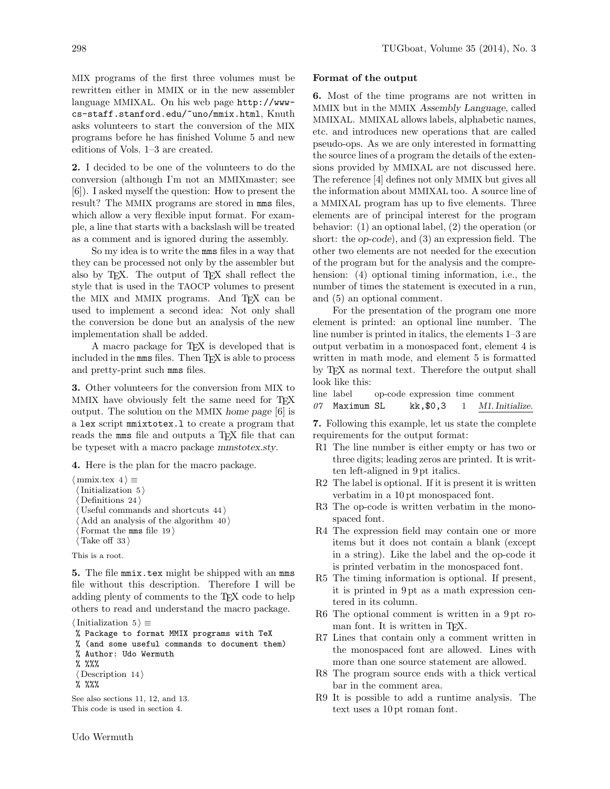MIX programs of the first three volumes must be rewritten either in MMIX or in the new assembler language MMIXAL. On his web page http://wwwcs-staff.stanford.edu/~uno/mmix.html, Knuth asks volunteers to start the conversion of the MIX programs before he has finished Volume 5 and new editions of Vols. 1–3 are created.

2. I decided to be one of the volunteers to do the conversion (although I'm not an MMIXmaster; see [6]). I asked myself the question: How to present the result? The MMIX programs are stored in mms files, which allow a very flexible input format. For example, a line that starts with a backslash will be treated as a comment and is ignored during the assembly.

So my idea is to write the mms files in a way that they can be processed not only by the assembler but also by TEX. The output of TEX shall reflect the style that is used in the TAOCP volumes to present the MIX and MMIX programs. And TEX can be used to implement a second idea: Not only shall the conversion be done but an analysis of the new implementation shall be added.

A macro package for TEX is developed that is included in the mms files. Then  $T_{F}X$  is able to process and pretty-print such mms files.

3. Other volunteers for the conversion from MIX to MMIX have obviously felt the same need for TFX output. The solution on the MMIX home page [6] is a lex script mmixtotex.l to create a program that reads the mms file and outputs a T<sub>E</sub>X file that can be typeset with a macro package mmstotex.sty.

4. Here is the plan for the macro package.

 $\langle$  mmix.tex 4  $\rangle \equiv$  $\langle$  Initialization 5  $\rangle$ Definitions  $24$ Useful commands and shortcuts  $44$ Add an analysis of the algorithm  $40$ ) Format the mms file  $19$ )

 $\langle$  Take off 33 $\rangle$ This is a root.

5. The file mmix.tex might be shipped with an mms file without this description. Therefore I will be adding plenty of comments to the TEX code to help others to read and understand the macro package.

 $\langle$  Initialization 5  $\rangle \equiv$ 

- % Package to format MMIX programs with TeX
- % (and some useful commands to document them) % Author: Udo Wermuth
- 
- % %%%

 $\langle$  Description 14 $\rangle$ 

% %%%

See also sections 11, 12, and 13. This code is used in section 4.

#### Format of the output

6. Most of the time programs are not written in MMIX but in the MMIX Assembly Language, called MMIXAL. MMIXAL allows labels, alphabetic names, etc. and introduces new operations that are called pseudo-ops. As we are only interested in formatting the source lines of a program the details of the extensions provided by MMIXAL are not discussed here. The reference [4] defines not only MMIX but gives all the information about MMIXAL too. A source line of a MMIXAL program has up to five elements. Three elements are of principal interest for the program behavior: (1) an optional label, (2) the operation (or short: the op-code), and (3) an expression field. The other two elements are not needed for the execution of the program but for the analysis and the comprehension: (4) optional timing information, i.e., the number of times the statement is executed in a run, and (5) an optional comment.

For the presentation of the program one more element is printed: an optional line number. The line number is printed in italics, the elements 1–3 are output verbatim in a monospaced font, element 4 is written in math mode, and element 5 is formatted by TEX as normal text. Therefore the output shall look like this:

```
line label op-code expression time comment
07 Maximum SL kk, $0,3 1 M1. Initialize.
```
7. Following this example, let us state the complete requirements for the output format:

- R1 The line number is either empty or has two or three digits; leading zeros are printed. It is written left-aligned in 9 pt italics.
- R2 The label is optional. If it is present it is written verbatim in a 10 pt monospaced font.
- R3 The op-code is written verbatim in the monospaced font.
- R4 The expression field may contain one or more items but it does not contain a blank (except in a string). Like the label and the op-code it is printed verbatim in the monospaced font.
- R5 The timing information is optional. If present, it is printed in 9 pt as a math expression centered in its column.
- R6 The optional comment is written in a 9 pt roman font. It is written in T<sub>F</sub>X.
- R7 Lines that contain only a comment written in the monospaced font are allowed. Lines with more than one source statement are allowed.
- R8 The program source ends with a thick vertical bar in the comment area.
- R9 It is possible to add a runtime analysis. The text uses a 10 pt roman font.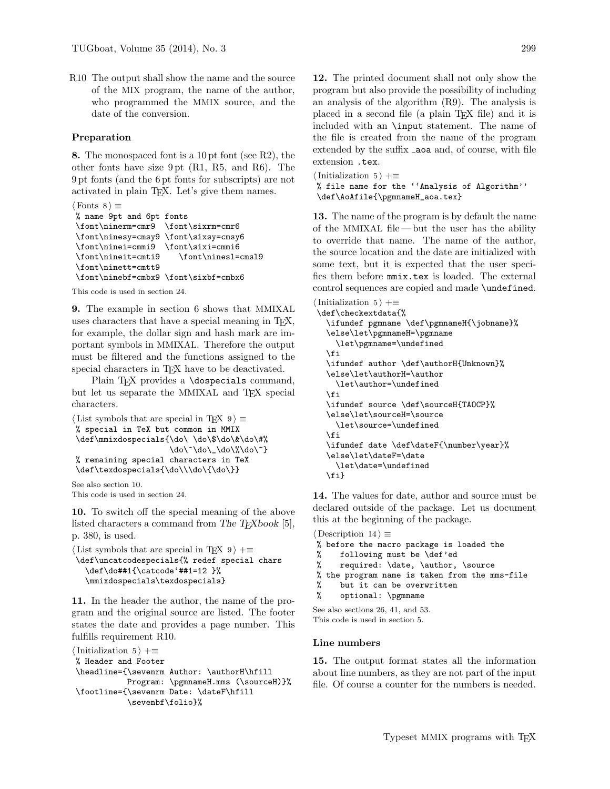R10 The output shall show the name and the source of the MIX program, the name of the author, who programmed the MMIX source, and the date of the conversion.

### Preparation

8. The monospaced font is a 10 pt font (see R2), the other fonts have size 9 pt (R1, R5, and R6). The 9 pt fonts (and the 6 pt fonts for subscripts) are not activated in plain TEX. Let's give them names.

```
\langle Fonts 8 \rangle \equiv% name 9pt and 6pt fonts
\font\ninerm=cmr9 \font\sixrm=cmr6
\font\ninesy=cmsy9 \font\sixsy=cmsy6
\font\ninei=cmmi9 \font\sixi=cmmi6
\font\nineit=cmti9 \font\ninesl=cmsl9
\font\ninett=cmtt9
\font\ninebf=cmbx9 \font\sixbf=cmbx6
```
This code is used in section 24.

9. The example in section 6 shows that MMIXAL uses characters that have a special meaning in TEX, for example, the dollar sign and hash mark are important symbols in MMIXAL. Therefore the output must be filtered and the functions assigned to the special characters in TEX have to be deactivated.

Plain T<sub>F</sub>X provides a **\dospecials** command, but let us separate the MMIXAL and TEX special characters.

```
\langle List symbols that are special in T<sub>E</sub>X 9\rangle \equiv% special in TeX but common in MMIX
\def\mmixdospecials{\do\ \do\$\do\&\do\#%
                        \do\^\do\_\do\%\do\~}
% remaining special characters in TeX
\def\texdospecials{\do\\\do\{\do\}}
```
See also section 10. This code is used in section 24.

10. To switch off the special meaning of the above listed characters a command from The T<sub>E</sub>Xbook  $[5]$ , p. 380, is used.

```
\langle List symbols that are special in TFX 9 \rangle +=
\def\uncatcodespecials{% redef special chars
   \def\do##1{\catcode'##1=12 }%
   \mmixdospecials\texdospecials}
```
11. In the header the author, the name of the program and the original source are listed. The footer states the date and provides a page number. This fulfills requirement R10.

```
\{Initialization 5 \rangle +≡
% Header and Footer
\headline={\sevenrm Author: \authorH\hfill
            Program: \pgmnameH.mms (\sourceH)}%
\footline={\sevenrm Date: \dateF\hfill
            \sevenbf\folio}%
```
12. The printed document shall not only show the program but also provide the possibility of including an analysis of the algorithm (R9). The analysis is placed in a second file (a plain TEX file) and it is included with an \input statement. The name of the file is created from the name of the program extended by the suffix aoa and, of course, with file extension .tex.

```
\{Initialization 5 \rangle +≡
% file name for the ''Analysis of Algorithm''
\def\AoAfile{\pgmnameH_aoa.tex}
```
13. The name of the program is by default the name of the MMIXAL file — but the user has the ability to override that name. The name of the author, the source location and the date are initialized with some text, but it is expected that the user specifies them before mmix.tex is loaded. The external control sequences are copied and made \undefined.

```
\{Initialization 5 \rangle +≡
\def\checkextdata{%
  \ifundef pgmname \def\pgmnameH{\jobname}%
  \else\let\pgmnameH=\pgmname
     \let\pgmname=\undefined
  \fi
  \ifundef author \def\authorH{Unknown}%
   \else\let\authorH=\author
     \let\author=\undefined
  \fi
  \ifundef source \def\sourceH{TAOCP}%
  \else\let\sourceH=\source
     \let\source=\undefined
  \fi
  \ifundef date \def\dateF{\number\year}%
  \else\let\dateF=\date
     \let\date=\undefined
  \fi}
```
14. The values for date, author and source must be declared outside of the package. Let us document this at the beginning of the package.

```
\langle Description 14 \rangle \equiv% before the macro package is loaded the
% following must be \def'ed
% required: \date, \author, \source
% the program name is taken from the mms-file
% but it can be overwritten
% optional: \pgmname
```
See also sections 26, 41, and 53. This code is used in section 5.

### Line numbers

15. The output format states all the information about line numbers, as they are not part of the input file. Of course a counter for the numbers is needed.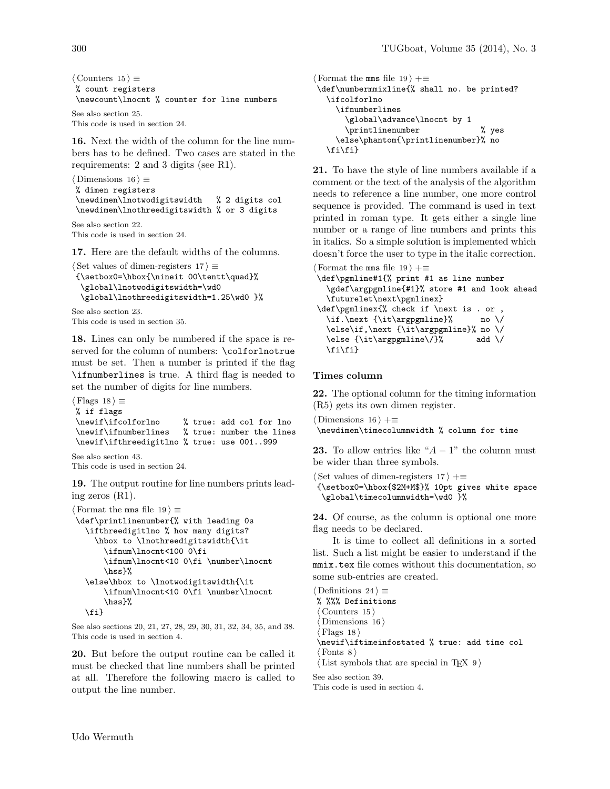$\langle$  Counters 15  $\rangle \equiv$ % count registers \newcount\lnocnt % counter for line numbers

```
See also section 25.
This code is used in section 24.
```
16. Next the width of the column for the line numbers has to be defined. Two cases are stated in the requirements: 2 and 3 digits (see R1).

```
\langle Dimensions 16 \rangle \equiv% dimen registers
\newdimen\lnotwodigitswidth % 2 digits col
 \newdimen\lnothreedigitswidth % or 3 digits
See also section 22.
```
This code is used in section 24.

17. Here are the default widths of the columns.

```
\langle Set values of dimen-registers 17 \rangle \equiv
```

```
{\setbox0=\hbox{\nineit 00\tentt\quad}%
 \global\lnotwodigitswidth=\wd0
 \global\lnothreedigitswidth=1.25\wd0 }%
```
See also section 23.

This code is used in section 35.

18. Lines can only be numbered if the space is reserved for the column of numbers: \colforlnotrue must be set. Then a number is printed if the flag \ifnumberlines is true. A third flag is needed to set the number of digits for line numbers.

```
\langle Flags 18 \rangle \equiv% if flags
\newif\ifcolforlno % true: add col for lno
                          % true: number the lines
\newif\ifthreedigitlno % true: use 001..999
```

```
See also section 43.
This code is used in section 24.
```
19. The output routine for line numbers prints leading zeros (R1).

```
\langle Format the mms file 19 \rangle \equiv\def\printlinenumber{% with leading 0s
   \ifthreedigitlno % how many digits?
     \hbox to \lnothreedigitswidth{\it
       \ifnum\lnocnt<100 0\fi
       \ifnum\lnocnt<10 0\fi \number\lnocnt
       \hss}%
   \else\hbox to \lnotwodigitswidth{\it
       \ifnum\lnocnt<10 0\fi \number\lnocnt
       \hss}%
  \fi}
```
See also sections 20, 21, 27, 28, 29, 30, 31, 32, 34, 35, and 38. This code is used in section 4.

20. But before the output routine can be called it must be checked that line numbers shall be printed at all. Therefore the following macro is called to output the line number.

 $\text{Format the mass file } 19$  +≡ \def\numbermmixline{% shall no. be printed? \ifcolforlno \ifnumberlines \global\advance\lnocnt by 1 \printlinenumber % yes \else\phantom{\printlinenumber}% no \fi\fi}

21. To have the style of line numbers available if a comment or the text of the analysis of the algorithm needs to reference a line number, one more control sequence is provided. The command is used in text printed in roman type. It gets either a single line number or a range of line numbers and prints this in italics. So a simple solution is implemented which doesn't force the user to type in the italic correction.

```
\langle Format the mms file 19 \rangle +≡
\def\pgmline#1{% print #1 as line number
  \gdef\argpgmline{#1}% store #1 and look ahead
  \futurelet\next\pgmlinex}
\def\pgmlinex{% check if \next is . or ,
  \if.\next {\it\argpgmline}% no \/
  \else\if,\next {\it\argpgmline}% no \/
  \else {\it\argpgmline\/}% add \/
  \fi\fi}
```
## Times column

22. The optional column for the timing information (R5) gets its own dimen register.

```
\langle Dimensions 16 \rangle +≡
\newdimen\timecolumnwidth % column for time
```
**23.** To allow entries like " $A - 1$ " the column must be wider than three symbols.

 $\langle$  Set values of dimen-registers 17  $\rangle$  +≡

{\setbox0=\hbox{\$2M+M\$}% 10pt gives white space \global\timecolumnwidth=\wd0 }%

24. Of course, as the column is optional one more flag needs to be declared.

It is time to collect all definitions in a sorted list. Such a list might be easier to understand if the mmix.tex file comes without this documentation, so some sub-entries are created.

```
\langle Definitions 24 \rangle \equiv% %%% Definitions
 \langle Counters 15 \rangleDimensions 16\rangleFlags 18\newif\iftimeinfostated % true: add time col
 \langle Fonts 8 \rangle(List symbols that are special in T<sub>E</sub>X 9)
```
See also section 39.

This code is used in section 4.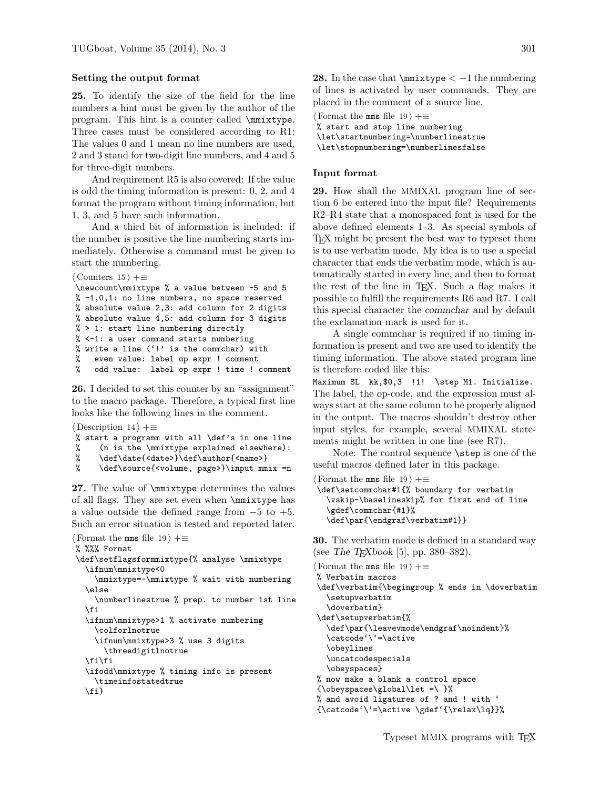## Setting the output format

25. To identify the size of the field for the line numbers a hint must be given by the author of the program. This hint is a counter called \mmixtype. Three cases must be considered according to R1: The values 0 and 1 mean no line numbers are used, 2 and 3 stand for two-digit line numbers, and 4 and 5 for three-digit numbers.

And requirement R5 is also covered: If the value is odd the timing information is present: 0, 2, and 4 format the program without timing information, but 1, 3, and 5 have such information.

And a third bit of information is included: if the number is positive the line numbering starts immediately. Otherwise a command must be given to start the numbering.

```
\langle Counters 15 \rangle +≡
```

```
\newcount\mmixtype % a value between -5 and 5
% -1,0,1: no line numbers, no space reserved
% absolute value 2,3: add column for 2 digits
% absolute value 4,5: add column for 3 digits
% > 1: start line numbering directly
% <-1: a user command starts numbering
% write a line ('!' is the commchar) with
% even value: label op expr ! comment
% odd value: label op expr ! time ! comment
```
26. I decided to set this counter by an "assignment" to the macro package. Therefore, a typical first line looks like the following lines in the comment.

```
\langle Description 14 \rangle +≡
% start a programm with all \def's in one line
% (n is the \mmixtype explained elsewhere):
```

```
% \def\date{<date>}\def\author{<name>}
```

```
% \def\source{<volume, page>}\input mmix =n
```
27. The value of \mmixtype determines the values of all flags. They are set even when \mmixtype has a value outside the defined range from  $-5$  to  $+5$ . Such an error situation is tested and reported later.

```
\langle Format the mms file 19 \rangle +≡
% %%% Format
\def\setflagsformmixtype{% analyse \mmixtype
  \ifnum\mmixtype<0
     \mmixtype=-\mmixtype % wait with numbering
  \else
     \numberlinestrue % prep. to number 1st line
   \fi
   \ifnum\mmixtype>1 % activate numbering
     \colforlnotrue
     \ifnum\mmixtype>3 % use 3 digits
       \threedigitlnotrue
  \fi\fi
   \ifodd\mmixtype % timing info is present
     \timeinfostatedtrue
   \fi}
```
28. In the case that  $\scriptstyle\rm\,}<-1$  the numbering of lines is activated by user commands. They are placed in the comment of a source line.

 $\langle$  Format the mms file 19  $\rangle$  +≡

```
% start and stop line numbering
\let\startnumbering=\numberlinestrue
```
\let\stopnumbering=\numberlinesfalse

### Input format

29. How shall the MMIXAL program line of section 6 be entered into the input file? Requirements R2–R4 state that a monospaced font is used for the above defined elements 1–3. As special symbols of TEX might be present the best way to typeset them is to use verbatim mode. My idea is to use a special character that ends the verbatim mode, which is automatically started in every line, and then to format the rest of the line in TEX. Such a flag makes it possible to fulfill the requirements R6 and R7. I call this special character the commchar and by default the exclamation mark is used for it.

A single commchar is required if no timing information is present and two are used to identify the timing information. The above stated program line is therefore coded like this:

Maximum SL kk,\$0,3 !1! \step M1. Initialize. The label, the op-code, and the expression must always start at the same column to be properly aligned in the output. The macros shouldn't destroy other input styles, for example, several MMIXAL statements might be written in one line (see R7).

Note: The control sequence \step is one of the useful macros defined later in this package.

 $\langle$  Format the mms file 19  $\rangle$  +=

```
\def\setcommchar#1{% boundary for verbatim
 \vskip-\baselineskip% for first end of line
  \gdef\commchar{#1}%
 \def\par{\endgraf\verbatim#1}}
```
30. The verbatim mode is defined in a standard way (see The T<sub>E</sub>Xbook [5], pp. 380–382).

```
\langle Format the mms file 19 \rangle +=
% Verbatim macros
\def\verbatim{\begingroup % ends in \doverbatim
  \setupverbatim
  \doverbatim}
\def\setupverbatim{%
  \def\par{\leavevmode\endgraf\noindent}%
  \catcode'\'=\active
  \obeylines
  \uncatcodespecials
  \obeyspaces}
% now make a blank a control space
{\boldsymbol{\times}} {\boldsymbol{\times}}%
% and avoid ligatures of ? and ! with '
{\catcode'}'=\active \qget'{\relax\lq}}
```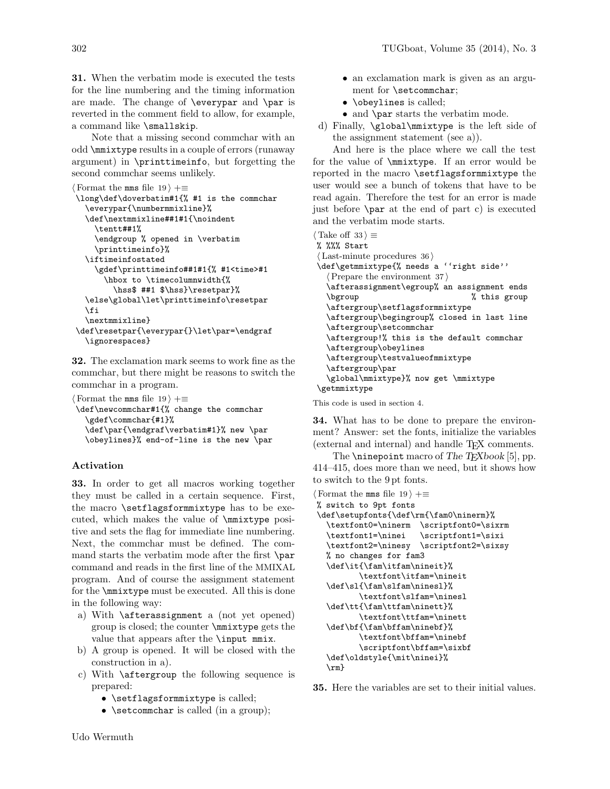31. When the verbatim mode is executed the tests for the line numbering and the timing information are made. The change of \everypar and \par is reverted in the comment field to allow, for example, a command like \smallskip.

Note that a missing second commchar with an odd \mmixtype results in a couple of errors (runaway argument) in \printtimeinfo, but forgetting the second commchar seems unlikely.

```
\text{Format the rms file } 19 \rightarrow +\equiv\long\def\doverbatim#1{% #1 is the commchar
   \everypar{\numbermmixline}%
   \def\nextmmixline##1#1{\noindent
     \tentt##1%
     \endgroup % opened in \verbatim
     \printtimeinfo}%
   \iftimeinfostated
     \gdef\printtimeinfo##1#1{% #1<time>#1
       \hbox to \timecolumnwidth{%
         \hss$ ##1 $\hss}\resetpar}%
   \else\global\let\printtimeinfo\resetpar
  \eta\nextmmixline}
\def\resetpar{\everypar{}\let\par=\endgraf
   \ignorespaces}
```
32. The exclamation mark seems to work fine as the commchar, but there might be reasons to switch the commchar in a program.

 $\langle$  Format the mms file 19  $\rangle$  +≡ \def\newcommchar#1{% change the commchar \gdef\commchar{#1}% \def\par{\endgraf\verbatim#1}% new \par \obeylines}% end-of-line is the new \par

# Activation

33. In order to get all macros working together they must be called in a certain sequence. First, the macro \setflagsformmixtype has to be executed, which makes the value of \mmixtype positive and sets the flag for immediate line numbering. Next, the commchar must be defined. The command starts the verbatim mode after the first \par command and reads in the first line of the MMIXAL program. And of course the assignment statement for the \mmixtype must be executed. All this is done in the following way:

- a) With \afterassignment a (not yet opened) group is closed; the counter \mmixtype gets the value that appears after the \input mmix.
- b) A group is opened. It will be closed with the construction in a).
- c) With \aftergroup the following sequence is prepared:
	- \setflagsformmixtype is called;
	- \setcommchar is called (in a group);
- an exclamation mark is given as an argument for \setcommchar;
- **\obeylines** is called;
- and \par starts the verbatim mode.
- d) Finally, \global\mmixtype is the left side of the assignment statement (see a)).

And here is the place where we call the test for the value of \mmixtype. If an error would be reported in the macro \setflagsformmixtype the user would see a bunch of tokens that have to be read again. Therefore the test for an error is made just before \par at the end of part c) is executed and the verbatim mode starts.

```
\langle Take off 33 \rangle \equiv% %%% Start
\langle Last-minute procedures 36\rangle\def\getmmixtype{% needs a ''right side''
   \langle Prepare the environment 37 \rangle\afterassignment\egroup% an assignment ends
  \bgroup % this group
  \aftergroup\setflagsformmixtype
  \aftergroup\begingroup% closed in last line
  \aftergroup\setcommchar
  \aftergroup!% this is the default commchar
  \aftergroup\obeylines
  \aftergroup\testvalueofmmixtype
  \aftergroup\par
   \global\mmixtype}% now get \mmixtype
 \getmmixtype
```
This code is used in section 4.

34. What has to be done to prepare the environment? Answer: set the fonts, initialize the variables (external and internal) and handle TEX comments.

The  $\infty$  inepoint macro of The TEXbook [5], pp. 414–415, does more than we need, but it shows how to switch to the 9 pt fonts.

- $\langle$  Format the mms file 19  $\rangle$  +≡
- % switch to 9pt fonts

```
\def\setupfonts{\def\rm{\fam0\ninerm}%
  \textfont0=\ninerm \scriptfont0=\sixrm
 \textfont1=\ninei \scriptfont1=\sixi
 \textfont2=\ninesy \scriptfont2=\sixsy
 % no changes for fam3
 \def\it{\fam\itfam\nineit}%
         \textfont\itfam=\nineit
 \def\sl{\fam\slfam\ninesl}%
        \textfont\slfam=\ninesl
 \def\tt{\fam\ttfam\ninett}%
         \textfont\ttfam=\ninett
 \def\bf{\fam\bffam\ninebf}%
         \textfont\bffam=\ninebf
         \scriptfont\bffam=\sixbf
 \def\oldstyle{\mit\ninei}%
 \rm}
```
35. Here the variables are set to their initial values.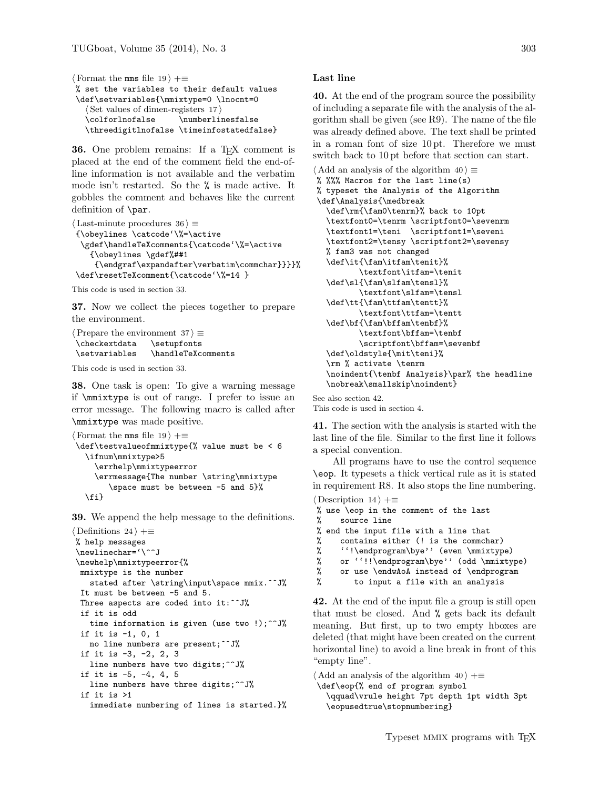```
\text{Format the rms file } 19 +≡
% set the variables to their default values
\def\setvariables{\mmixtype=0 \lnocnt=0
   \langle Set values of dimen-registers 17\rangle\colforlnofalse \numberlinesfalse
  \threedigitlnofalse \timeinfostatedfalse}
```
36. One problem remains: If a TEX comment is placed at the end of the comment field the end-ofline information is not available and the verbatim mode isn't restarted. So the % is made active. It gobbles the comment and behaves like the current definition of \par.

```
\langle Last-minute procedures 36 \rangle \equiv{\obeylines \catcode'\%=\active
 \gdef\handleTeXcomments{\catcode'\%=\active
    {\obeylines \gdef%##1
     {\endgraf\expandafter\verbatim\commchar}}}}%
\def\resetTeXcomment{\catcode'\%=14 }
```
This code is used in section 33.

37. Now we collect the pieces together to prepare the environment.

```
\langle Prepare the environment 37 \rangle \equiv\checkextdata \setupfonts
\setvariables \handleTeXcomments
```
This code is used in section 33.

38. One task is open: To give a warning message if \mmixtype is out of range. I prefer to issue an error message. The following macro is called after \mmixtype was made positive.

```
\langle Format the mms file 19 \rangle +≡
\def\testvalueofmmixtype{% value must be < 6
   \ifnum\mmixtype>5
     \errhelp\mmixtypeerror
     \errmessage{The number \string\mmixtype
        \space must be between -5 and 5}%
   \fi}
```
39. We append the help message to the definitions.

```
\langle Definitions 24 \rangle +≡
% help messages
\newlinechar='\^^J
\newhelp\mmixtypeerror{%
 mmixtype is the number
   stated after \string\input\space mmix.^^J%
 It must be between -5 and 5.
 Three aspects are coded into it:^^J%
 if it is odd
   time information is given (use two !);^^J%
 if it is -1, 0, 1
   no line numbers are present;^^J%
 if it is -3, -2, 2, 3
   line numbers have two digits;^^J%
 if it is -5, -4, 4, 5
   line numbers have three digits;^^J%
 if it is >1
   immediate numbering of lines is started.}%
```
### Last line

40. At the end of the program source the possibility of including a separate file with the analysis of the algorithm shall be given (see R9). The name of the file was already defined above. The text shall be printed in a roman font of size 10 pt. Therefore we must switch back to 10 pt before that section can start.

```
\langle Add an analysis of the algorithm 40 \rangle \equiv% %%% Macros for the last line(s)
% typeset the Analysis of the Algorithm
\def\Analysis{\medbreak
  \def\rm{\fam0\tenrm}% back to 10pt
   \textfont0=\tenrm \scriptfont0=\sevenrm
  \textfont1=\teni \scriptfont1=\seveni
  \textfont2=\tensy \scriptfont2=\sevensy
  % fam3 was not changed
  \def\it{\fam\itfam\tenit}%
          \textfont\itfam=\tenit
  \def\sl{\fam\slfam\tensl}%
          \textfont\slfam=\tensl
  \def\tt{\fam\ttfam\tentt}%
          \textfont\ttfam=\tentt
  \def\bf{\fam\bffam\tenbf}%
          \textfont\bffam=\tenbf
          \scriptfont\bffam=\sevenbf
  \def\oldstyle{\mit\teni}%
  \rm % activate \tenrm
   \noindent{\tenbf Analysis}\par% the headline
  \nobreak\smallskip\noindent}
```
See also section 42. This code is used in section 4.

41. The section with the analysis is started with the last line of the file. Similar to the first line it follows a special convention.

All programs have to use the control sequence \eop. It typesets a thick vertical rule as it is stated in requirement R8. It also stops the line numbering.

```
\langle Description 14 \rangle +≡
% use \eop in the comment of the last
% source line
% end the input file with a line that
% contains either (! is the commchar)
% ''!\endprogram\bye'' (even \mmixtype)
% or ''!!\endprogram\bye'' (odd \mmixtype)
% or use \endwAoA instead of \endprogram
% to input a file with an analysis
```
42. At the end of the input file a group is still open that must be closed. And % gets back its default meaning. But first, up to two empty hboxes are deleted (that might have been created on the current horizontal line) to avoid a line break in front of this "empty line".

 $\langle$  Add an analysis of the algorithm 40  $\rangle$  +≡

\def\eop{% end of program symbol

\qquad\vrule height 7pt depth 1pt width 3pt \eopusedtrue\stopnumbering}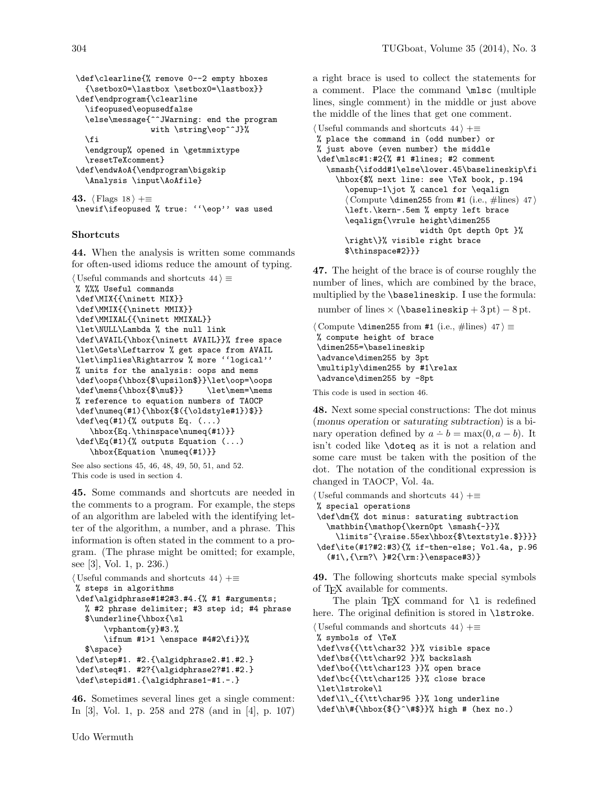```
\def\clearline{% remove 0--2 empty hboxes
  {\setbox0=\lastbox \setbox0=\lastbox}}
\def\endprogram{\clearline
  \ifeopused\eopusedfalse
  \else\message{^^JWarning: end the program
                with \string\eop^^J}%
  \fi
  \endgroup% opened in \getmmixtype
  \resetTeXcomment}
\def\endwAoA{\endprogram\bigskip
  \Analysis \input\AoAfile}
```
43.  $\langle$  Flags 18  $\rangle$  += \newif\ifeopused % true: ''\eop'' was used

## **Shortcuts**

44. When the analysis is written some commands for often-used idioms reduce the amount of typing.

```
\langle Useful commands and shortcuts 44\rangle \equiv% %%% Useful commands
\def\MIX{{\ninett MIX}}
\def\MMIX{{\ninett MMIX}}
\def\MMIXAL{{\ninett MMIXAL}}
\let\NULL\Lambda % the null link
\def\AVAIL{\hbox{\ninett AVAIL}}% free space
\let\Gets\Leftarrow % get space from AVAIL
\let\implies\Rightarrow % more ''logical''
% units for the analysis: oops and mems
\def\oops{\hbox{$\upsilon$}}\let\oop=\oops
\def\mems{\hbox{$\mu$}} \let\mem=\mems
% reference to equation numbers of TAOCP
\def\numeq(#1){\hbox{$({\oldstyle#1})$}}
\def\eq(#1){% outputs Eq. (...)
   \hbox{Eq.\thinspace\numeq(#1)}}
\def\Eq(#1){% outputs Equation (...)
   \hbox{Equation \numeq(#1)}}
```

```
See also sections 45, 46, 48, 49, 50, 51, and 52.
This code is used in section 4.
```
45. Some commands and shortcuts are needed in the comments to a program. For example, the steps of an algorithm are labeled with the identifying letter of the algorithm, a number, and a phrase. This information is often stated in the comment to a program. (The phrase might be omitted; for example, see [3], Vol. 1, p. 236.)

```
\langle Useful commands and shortcuts 44 \rangle +\equiv% steps in algorithms
\def\algidphrase#1#2#3.#4.{% #1 #arguments;
  % #2 phrase delimiter; #3 step id; #4 phrase
  $\underline{\hbox{\sl
       \vphantom{y}#3.%
       \ifnum #1>1 \enspace #4#2\fi}}%
  $\space}
\def\step#1. #2.{\algidphrase2.#1.#2.}
\def\steq#1. #2?{\algidphrase2?#1.#2.}
\def\stepid#1.{\algidphrase1-#1.-.}
```
46. Sometimes several lines get a single comment: In [3], Vol. 1, p. 258 and 278 (and in [4], p. 107) a right brace is used to collect the statements for a comment. Place the command \mlsc (multiple lines, single comment) in the middle or just above the middle of the lines that get one comment.

```
\langle Useful commands and shortcuts 44 \rangle +\equiv% place the command in (odd number) or
% just above (even number) the middle
\def\mlsc#1:#2{% #1 #lines; #2 comment
  \smash{\ifodd#1\else\lower.45\baselineskip\fi
     \hbox{$% next line: see \TeX book, p.194
       \openup-1\jot % cancel for \eqalign
       \langle Compute \dimen255 from #1 (i.e., #lines) 47)
       \left.\kern-.5em % empty left brace
       \eqalign{\vrule height\dimen255
                        width 0pt depth 0pt }%
       \right\}% visible right brace
       $\thinspace#2}}}
```
47. The height of the brace is of course roughly the number of lines, which are combined by the brace, multiplied by the \baselineskip. I use the formula: number of lines  $\times$  (\baselineskip + 3 pt) – 8 pt.

```
\langle Compute \dimen255 from #1 (i.e., #lines) 47 \rangle \equiv% compute height of brace
\dimen255=\baselineskip
\advance\dimen255 by 3pt
\multiply\dimen255 by #1\relax
\advance\dimen255 by -8pt
```
This code is used in section 46.

48. Next some special constructions: The dot minus (monus operation or saturating subtraction) is a binary operation defined by  $a - b = \max(0, a - b)$ . It isn't coded like \doteq as it is not a relation and some care must be taken with the position of the dot. The notation of the conditional expression is changed in TAOCP, Vol. 4a.

 $\langle$  Useful commands and shortcuts 44  $\rangle$  +≡ % special operations \def\dm{% dot minus: saturating subtraction \mathbin{\mathop{\kern0pt \smash{-}}% \limits^{\raise.55ex\hbox{\$\textstyle.\$}}}} \def\ite(#1?#2:#3){% if-then-else; Vol.4a, p.96 (#1\,{\rm?\ }#2{\rm:}\enspace#3)}

49. The following shortcuts make special symbols of TEX available for comments.

The plain T<sub>E</sub>X command for  $\lceil \cdot \rceil$  is redefined here. The original definition is stored in \lstroke.

 $\langle$  Useful commands and shortcuts 44  $\rangle$  +≡ % symbols of \TeX \def\vs{{\tt\char32 }}% visible space \def\bs{{\tt\char92 }}% backslash \def\bo{{\tt\char123 }}% open brace \def\bc{{\tt\char125 }}% close brace \let\lstroke\l \def\l\\_{{\tt\char95 }}% long underline

\def\h\#{\hbox{\${}^\#\$}}% high # (hex no.)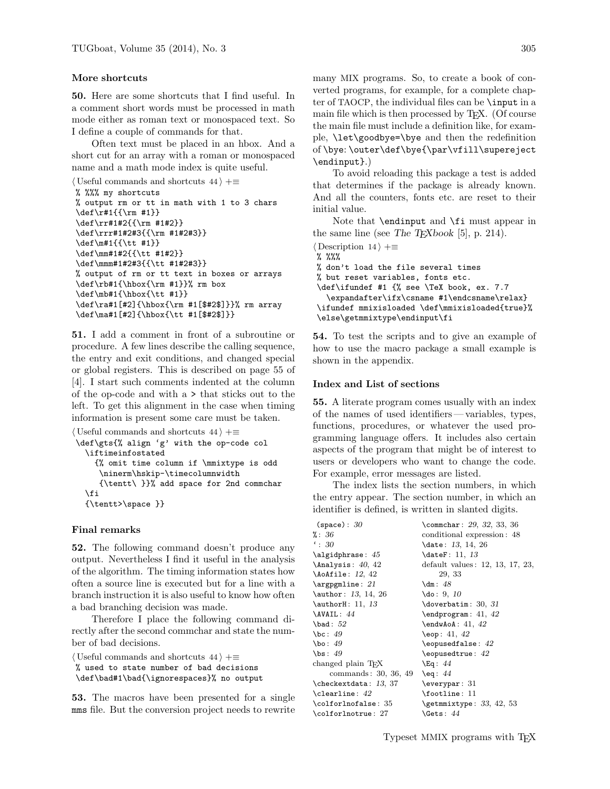### More shortcuts

50. Here are some shortcuts that I find useful. In a comment short words must be processed in math mode either as roman text or monospaced text. So I define a couple of commands for that.

Often text must be placed in an hbox. And a short cut for an array with a roman or monospaced name and a math mode index is quite useful.

```
\langle Useful commands and shortcuts 44 \rangle +≡
% %%% my shortcuts
% output rm or tt in math with 1 to 3 chars
\def\r#1{{\rm #1}}
\def\rr#1#2{{\rm #1#2}}
\def\rrr#1#2#3{{\rm #1#2#3}}
\def\m#1{{\tt #1}}
\def\mm#1#2{{\tt #1#2}}
\def\mmm#1#2#3{{\tt #1#2#3}}
% output of rm or tt text in boxes or arrays
\def\rb#1{\hbox{\rm #1}}% rm box
\def\mb#1{\hbox{\tt #1}}
\def\ra#1[#2]{\hbox{\rm #1[$#2$]}}% rm array
\def\ma#1[#2]{\hbox{\tt #1[$#2$]}}
```
51. I add a comment in front of a subroutine or procedure. A few lines describe the calling sequence, the entry and exit conditions, and changed special or global registers. This is described on page 55 of [4]. I start such comments indented at the column of the op-code and with a > that sticks out to the left. To get this alignment in the case when timing information is present some care must be taken.

```
\langle Useful commands and shortcuts 44 \rangle +≡
\def\gts{% align 'g' with the op-code col
  \iftimeinfostated
     {% omit time column if \mmixtype is odd
      \ninerm\hskip-\timecolumnwidth
      {\tentt\ }}% add space for 2nd commchar
  \eta{\tentt>\space }}
```
## Final remarks

52. The following command doesn't produce any output. Nevertheless I find it useful in the analysis of the algorithm. The timing information states how often a source line is executed but for a line with a branch instruction it is also useful to know how often a bad branching decision was made.

Therefore I place the following command directly after the second commchar and state the number of bad decisions.

```
\langle Useful commands and shortcuts 44 \rangle +≡
```

```
% used to state number of bad decisions
```
\def\bad#1\bad{\ignorespaces}% no output

53. The macros have been presented for a single mms file. But the conversion project needs to rewrite

many MIX programs. So, to create a book of converted programs, for example, for a complete chapter of TAOCP, the individual files can be \input in a main file which is then processed by TEX. (Of course the main file must include a definition like, for example, \let\goodbye=\bye and then the redefinition of \bye: \outer\def\bye{\par\vfill\supereject \endinput}.)

To avoid reloading this package a test is added that determines if the package is already known. And all the counters, fonts etc. are reset to their initial value.

Note that \endinput and \fi must appear in the same line (see The T<sub>E</sub>Xbook [5], p. 214).

```
\langle Description 14 \rangle +≡
% %%%
% don't load the file several times
% but reset variables, fonts etc.
\def\ifundef #1 {% see \TeX book, ex. 7.7
  \expandafter\ifx\csname #1\endcsname\relax}
\ifundef mmixisloaded \def\mmixisloaded{true}%
\else\getmmixtype\endinput\fi
```
54. To test the scripts and to give an example of how to use the macro package a small example is shown in the appendix.

## Index and List of sections

55. A literate program comes usually with an index of the names of used identifiers— variables, types, functions, procedures, or whatever the used programming language offers. It includes also certain aspects of the program that might be of interest to users or developers who want to change the code. For example, error messages are listed.

The index lists the section numbers, in which the entry appear. The section number, in which an identifier is defined, is written in slanted digits.

| (space): 30                  | \commchar: $29, 32, 33, 36$         |
|------------------------------|-------------------------------------|
| $\%: 36$                     | conditional expression: 48          |
| $\cdot: 30$                  | \date: 13, 14, 26                   |
| $\alpha$ : 45                | \dateF: 11, 13                      |
| $\text{Analysis: } 40, 42$   | default values: 12, 13, 17, 23,     |
| $\Lambda$ ile: 12, 42        | 29, 33                              |
| $\arg{pgmline: 21}$          | \dm: $48$                           |
| \author: 13, 14, 26          | $\text{do}: 9, 10$                  |
| $\{\text{authorH}: 11, 13\}$ | $\downarrow$ doverbatim: 30, 31     |
| \AVAIL: 44                   | $\end{program}: 41, 42$             |
| $\b{bad}: 52$                | $\end{wAoA}: 41, 42$                |
| \bc: $49$                    | $\text{leop}: 41, 42$               |
| \bo: $49$                    | $\leqslant$ 2                       |
| $\mathsf{b}\mathsf{s}: 49$   | $\text{leopusedtrue}: 42$           |
| changed plain TFX            | \Eq: $44$                           |
| commands: 30, 36, 49         | $\text{eq}: 44$                     |
| \checkextdata: 13, 37        | $\text{everypar}: 31$               |
| $\text{clearline}: 42$       | \footline: 11                       |
| \colforlnofalse: 35          | $\setminus$ getmmixtype: 33, 42, 53 |
| \colforlnotrue: 27           | \Gets: $44$                         |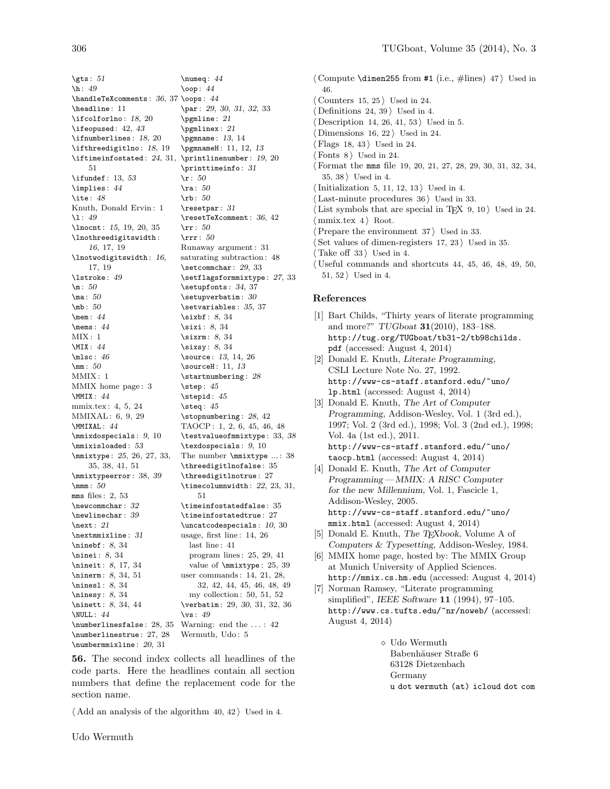\gts:  $51$ \h : 49 \handleTeXcomments: 36, 37 \oops: 44 \headline : 11 \ifcolforlno : 18, 20 \ifeopused : 42, 43 \ifnumberlines : 18, 20 \ifthreedigitlno : 18, 19 \iftimeinfostated:  $24, 31,$  \printlinenumber:  $19, 20$ 51 \ifundef: 13, 53 \implies : 44 \ite:  $48$ Knuth, Donald Ervin : 1 \l : 49 \lnocnt: 15, 19, 20, 35 \lnothreedigitswidth : 16, 17, 19 \lnotwodigitswidth : 16, 17, 19 \lstroke : 49  $\mathrm{m}$ : 50 \ma: 50 \mb : 50 \mem : 44 \mems : 44  $MIX: 1$ \MIX : 44  $\text{Misc}$ : 46 \mm : 50 MMIX : 1 MMIX home page : 3 \MMIX : 44 mmix.tex : 4, 5, 24 MMIXAL : 6, 9, 29 \MMIXAL : 44 \mmixdospecials : 9, 10 \mmixisloaded : 53 \mmixtype : 25, 26, 27, 33, 35, 38, 41, 51 \mmixtypeerror : 38, 39 \mmm : 50 mms files : 2, 53 \newcommchar: 32 \newlinechar: 39 \next : 21 \nextmmixline: 31 \ninebf: 8, 34 \ninei: 8, 34 \nineit: 8, 17, 34 \ninerm: 8, 34, 51 \nines1: 8, 34 \ninesy : 8, 34 \ninett: 8, 34, 44 \NULL : 44 \numberlinesfalse : 28, 35 Warning: end the . . . : 42 \numberlinestrue : 27, 28 \numbermmixline : 20, 31 \numeq : 44 \oop : 44 \par : 29, 30, 31, 32, 33 \pgmline: 21 \pgmlinex: 21 \pgmname : 13, 14 \pgmnameH : 11, 12, 13 \printtimeinfo: 31  $\mathbf{r}$ : 50  $\text{ra}: 50$  $\hbox{rb}: 50$ \resetpar : 31 \resetTeXcomment : 36, 42 \rr : 50 \rrr : 50 Runaway argument : 31 saturating subtraction : 48 \setcommchar : 29, 33 \setflagsformmixtype : 27, 33 \setupfonts: 34, 37  $\setminus$ setupverbatim: 30 \setvariables : 35, 37 \sixbf : 8, 34 \sixi : 8, 34 \sixrm: 8, 34 \sixsy : 8, 34 \source : 13, 14, 26 \sourceH : 11, 13 \startnumbering: 28 \step : 45 \stepid : 45 \steq : 45 \stopnumbering : 28, 42 TAOCP : 1, 2, 6, 45, 46, 48 \testvalueofmmixtype : 33, 38 \texdospecials : 9, 10 The number \mmixtype ...: 38 \threedigitlnofalse : 35 \threedigitlnotrue : 27 \timecolumnwidth : 22, 23, 31, 51 \timeinfostatedfalse : 35 \timeinfostatedtrue: 27 \uncatcodespecials : 10, 30 usage, first line : 14, 26 last line: 41 program lines : 25, 29, 41 value of \mmixtype : 25, 39 user commands : 14, 21, 28, 32, 42, 44, 45, 46, 48, 49 my collection : 50, 51, 52 \verbatim: 29, 30, 31, 32, 36  $\sqrt{vs}$ : 49 Wermuth, Udo: 5

56. The second index collects all headlines of the code parts. Here the headlines contain all section numbers that define the replacement code for the section name.

 $\langle$  Add an analysis of the algorithm 40, 42 i Used in 4.

Udo Wermuth

 $\langle$  Compute \dimen255 from #1 (i.e., #lines) 47  $\rangle$  Used in 46. Counters  $15, 25$  Used in 24. Definitions  $24, 39$  Used in 4. Description 14, 26, 41, 53  $\rangle$  Used in 5. Dimensions  $16, 22$  Used in 24. Flags 18, 43  $\rangle$  Used in 24. Fonts  $8$  Used in 24. h Format the mms file 19, 20, 21, 27, 28, 29, 30, 31, 32, 34,  $35, 38$  Used in 4.  $\langle$  Initialization 5, 11, 12, 13  $\rangle$  Used in 4.  $\text{Last-minute procedures } 36$  Used in 33. List symbols that are special in TFX  $9, 10$  Used in 24. mmix.tex  $4$  Root. Prepare the environment  $37$  Used in 33. Set values of dimen-registers  $17, 23$  Used in 35. Take off  $33$  Used in 4.  $\langle$  Useful commands and shortcuts 44, 45, 46, 48, 49, 50,  $51, 52$  Used in 4.

## References

- [1] Bart Childs, "Thirty years of literate programming and more?" TUGboat 31(2010), 183–188. http://tug.org/TUGboat/tb31-2/tb98childs. pdf (accessed: August 4, 2014)
- [2] Donald E. Knuth, Literate Programming, CSLI Lecture Note No. 27, 1992. http://www-cs-staff.stanford.edu/~uno/ lp.html (accessed: August 4, 2014)
- [3] Donald E. Knuth, The Art of Computer Programming, Addison-Wesley, Vol. 1 (3rd ed.), 1997; Vol. 2 (3rd ed.), 1998; Vol. 3 (2nd ed.), 1998; Vol. 4a (1st ed.), 2011. http://www-cs-staff.stanford.edu/~uno/ taocp.html (accessed: August 4, 2014)
- [4] Donald E. Knuth, The Art of Computer Programming— MMIX: A RISC Computer for the new Millennium, Vol. 1, Fascicle 1, Addison-Wesley, 2005. http://www-cs-staff.stanford.edu/~uno/ mmix.html (accessed: August 4, 2014)
- [5] Donald E. Knuth, The T<sub>E</sub>Xbook, Volume A of Computers & Typesetting, Addison-Wesley, 1984.
- [6] MMIX home page, hosted by: The MMIX Group at Munich University of Applied Sciences. http://mmix.cs.hm.edu (accessed: August 4, 2014)
- [7] Norman Ramsey, "Literate programming simplified", IEEE Software 11 (1994), 97–105. http://www.cs.tufts.edu/~nr/noweb/ (accessed: August 4, 2014)
	- $\diamond~\text{Udo}$  Wermuth Babenhäuser Straße 6 63128 Dietzenbach Germany u dot wermuth (at) icloud dot com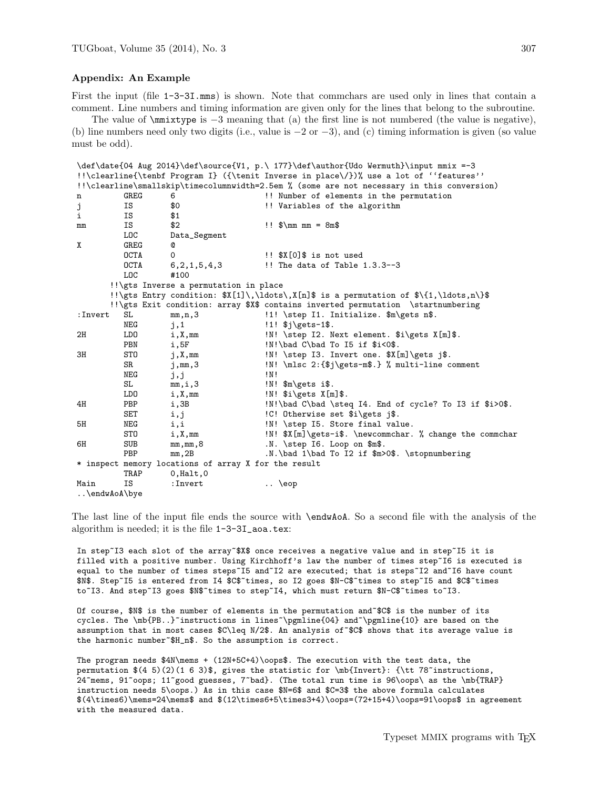#### Appendix: An Example

First the input (file  $1-3-3I \cdot \text{mms}$ ) is shown. Note that commchars are used only in lines that contain a comment. Line numbers and timing information are given only for the lines that belong to the subroutine.

The value of \mmixtype is −3 meaning that (a) the first line is not numbered (the value is negative), (b) line numbers need only two digits (i.e., value is −2 or −3), and (c) timing information is given (so value must be odd).

```
\label{thm:main} $$\def\data{04 Aug 2014}\def\source{V1, p.\\  177}\def\auth{Vdo Wermuth}\input mmix =-3!!\clearline{\tenbf Program I} ({\tenit Inverse in place\/})% use a lot of ''features''
!!\clearline\smallskip\timecolumnwidth=2.5em % (some are not necessary in this conversion)
n GREG 6 	 !! Number of elements in the permutation
j IS $0 \qquad !! Variables of the algorithm i SS $1
i IS $1
mm IS $2 !! $\mm mm = 8m$
            LOC Data_Segment
X GREG @
             OCTA 0 : $X[0]$ is not used
             OCTA 6,2,1,5,4,3 !! The data of Table 1.3.3--3
            LOC #100
         !!\gts Inverse a permutation in place
         !!\gts Entry condition: X[1]\,\ldots,Y[n] is a permutation of \{1,\ldots,n\}!!\gts Exit condition: array $X$ contains inverted permutation \startnumbering
:Invert SL mm,n,3 !1! \step I1. Initialize. $m\gets n$.
            NEG j,1 !1! $j\gets-1$.
2H LDO i,X,mm     !N! \step I2. Next element. $i\gets X[m]$.
            PBN i,5F !N!\bad C\bad To I5 if $i<0$.<br>STO j,X,mm     !N!\step I3. Invert one. $X[
3H STO j,X,mm     !N! \step I3. Invert one. $X[m]\gets j$.
            SR j,mm,3 \text{NN} : \text{NN} : \text{NN} : \text{NN} : \text{NN} : \text{NN} : \text{NN} : \text{NN} : \text{NN} : \text{NN} : \text{NN} : \text{NN} : \text{NN} : \text{NN} : \text{NN} : \text{NN} : \text{NN} : \text{NN} : \text{NN} : \text{NN} : \text{NN} : \j, j !N!
            SL mm,i,3 {}_{\text{N}}!N! $m\gets i$.<br>LDO i,X,mm . N! $i\gets X[m
                                                   IN! $i\gets X[m]$.
4H PBP i,3B !N!\bad C\bad \steq I4. End of cycle? To I3 if $i>0$.
            SET i,j <br>
NEG i,i <br>
NEG i,i <br>
NEG i,i <br>
NEG i,i <br>
NEG i,i <br>
NEG i,i <br>
NEG i,i <br>
NEG i,i <br>
NEG i,i <br>
NEG i,i <br>
NEG i,i <br>
NEG i,i <br>
NEG i,i <br>
NEG i,i <br>
NEG i,i <br>
NEG i,i <br>
NEG i,i <br>
NEG i,i <br>
NEG i,i <br>
NEG i,i <br>
NEG i,i <br>
NE
5H NEG i,i \text{IN! } \text{Step 15. } \text{ Store final value. } \text{STO} \text{ i, X, mm} \text{ } \text{S } \text{[m]} \text{ set } \text{S}. \text{ } \text{ Theorem 1. } \text{C} \text{ } \text{S} \text{ } \text{C} \text{ } \text{C} \text{ } \text{C} \text{ } \text{C} \text{ } \text{C} \text{ } \text{D} \text{ } \text{C} \text{ } \text{D} \text{ } \text{D} \text{ } \text{C} \text{ } \text{D} \text{ } \text{D} \text{ } \text{D} \texti,X,mm \{N\} \{N\} \{N\} \{m\}. \newcommchar. % change the commchar
6H SUB mm,mm,8 .N. \step I6. Loop on $m$.<br>PBP mm.2B .N. \bad 1\bad To I2 if $m>
                         mm, 2B .N.\bad 1\bad To I2 if m>0$. \stopnumbering
* inspect memory locations of array X for the result
             TRAP 0,Halt,0
Main IS : Invert ... \eop
..\endwAoA\bye
```
The last line of the input file ends the source with \endwAoA. So a second file with the analysis of the algorithm is needed; it is the file 1-3-3I\_aoa.tex:

In step~I3 each slot of the array~\$X\$ once receives a negative value and in step~I5 it is filled with a positive number. Using Kirchhoff's law the number of times step~I6 is executed is equal to the number of times steps~I5 and~I2 are executed; that is steps~I2 and~I6 have count \$N\$. Step~I5 is entered from I4 \$C\$~times, so I2 goes \$N-C\$~times to step~I5 and \$C\$~times to~I3. And step~I3 goes \$N\$~times to step~I4, which must return \$N-C\$~times to~I3.

Of course, \$N\$ is the number of elements in the permutation and~\$C\$ is the number of its cycles. The \mb{PB..}~instructions in lines~\pgmline{04} and~\pgmline{10} are based on the assumption that in most cases \$C\leq N/2\$. An analysis of~\$C\$ shows that its average value is the harmonic number~\$H\_n\$. So the assumption is correct.

The program needs \$4N\mems + (12N+5C+4)\oops\$. The execution with the test data, the permutation  $(4\ 5)(2)(1\ 6\ 3)\$ , gives the statistic for \mb{Invert}: {\tt 78~instructions, 24~mems, 91~oops; 11~good guesses, 7~bad}. (The total run time is 96\oops\ as the \mb{TRAP} instruction needs 5\oops.) As in this case \$N=6\$ and \$C=3\$ the above formula calculates \$(4\times6)\mems=24\mems\$ and \$(12\times6+5\times3+4)\oops=(72+15+4)\oops=91\oops\$ in agreement with the measured data.